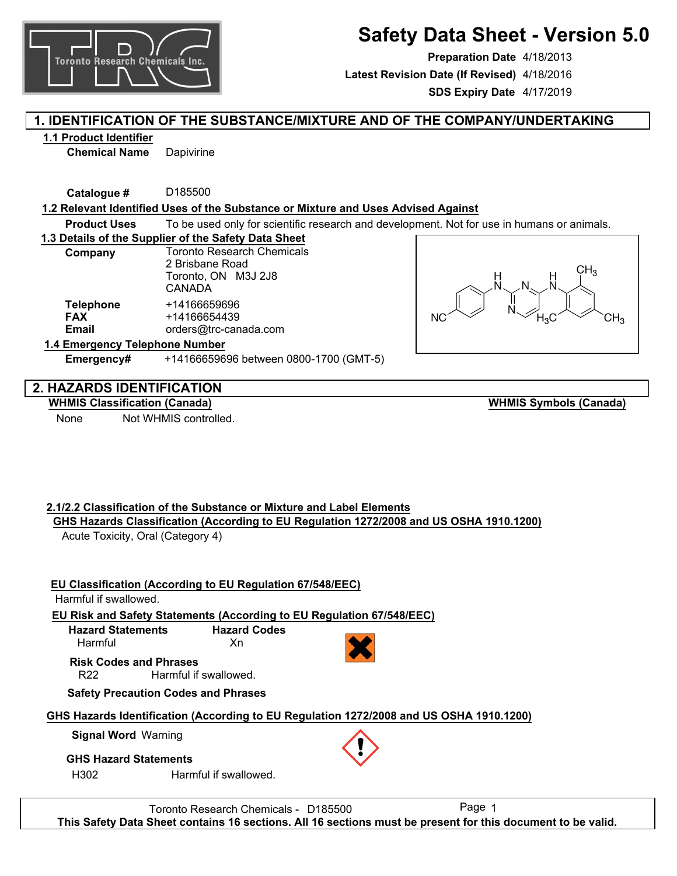

# **Safety Data Sheet - Version 5.0**

**Preparation Date** 4/18/2013 **SDS Expiry Date** 4/17/2019 **Latest Revision Date (If Revised)** 4/18/2016

# **1. IDENTIFICATION OF THE SUBSTANCE/MIXTURE AND OF THE COMPANY/UNDERTAKING**

### **1.1 Product Identifier**

**Chemical Name** Dapivirine

**Catalogue #** D185500

#### **1.2 Relevant Identified Uses of the Substance or Mixture and Uses Advised Against**

**Product Uses** To be used only for scientific research and development. Not for use in humans or animals.

#### **1.3 Details of the Supplier of the Safety Data Sheet**

| Company                                 | <b>Toronto Research Chemicals</b><br>2 Brisbane Road<br>Toronto, ON M3J 2J8<br>CANADA |  |  |
|-----------------------------------------|---------------------------------------------------------------------------------------|--|--|
| <b>Telephone</b><br><b>FAX</b><br>Email | +14166659696<br>+14166654439<br>orders@trc-canada.com                                 |  |  |
| 1.4 Emergency Telephone Number          |                                                                                       |  |  |

**Emergency#** +14166659696 between 0800-1700 (GMT-5)



# **2. HAZARDS IDENTIFICATION**

#### **WHMIS Classification (Canada)**

None Not WHMIS controlled.

**WHMIS Symbols (Canada)**

# **2.1/2.2 Classification of the Substance or Mixture and Label Elements GHS Hazards Classification (According to EU Regulation 1272/2008 and US OSHA 1910.1200)**

Acute Toxicity, Oral (Category 4)

# **EU Classification (According to EU Regulation 67/548/EEC)**

# Harmful if swallowed.

**EU Risk and Safety Statements (According to EU Regulation 67/548/EEC)**

**Hazard Statements** Harmful **Hazard Codes** Xn

**Risk Codes and Phrases**

R22 Harmful if swallowed.

# **Safety Precaution Codes and Phrases**

# **GHS Hazards Identification (According to EU Regulation 1272/2008 and US OSHA 1910.1200)**

# **Signal Word** Warning

# **GHS Hazard Statements**

H302 Harmful if swallowed.

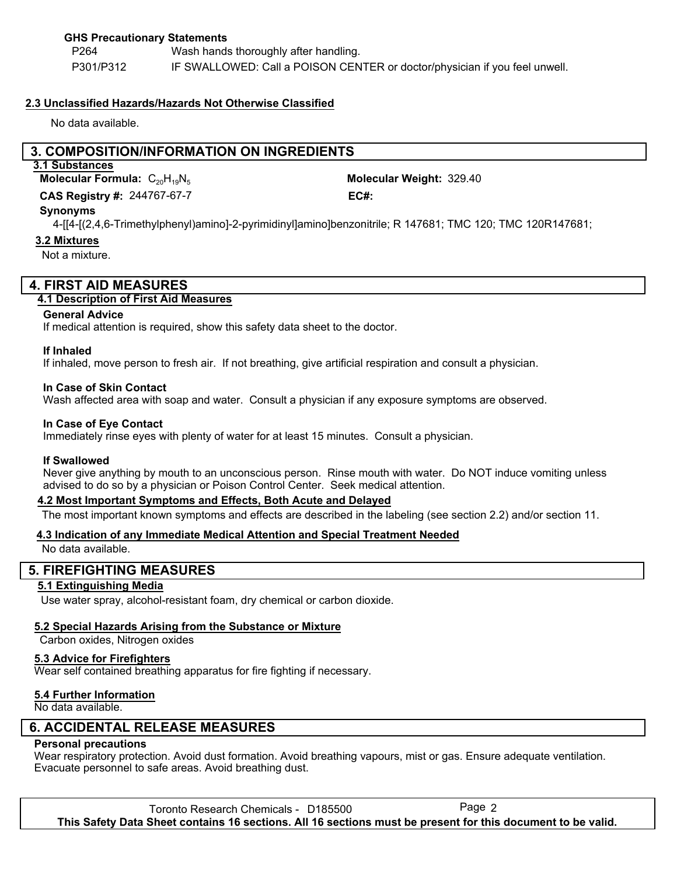### **GHS Precautionary Statements**

P264 P301/P312 Wash hands thoroughly after handling. IF SWALLOWED: Call a POISON CENTER or doctor/physician if you feel unwell.

#### **2.3 Unclassified Hazards/Hazards Not Otherwise Classified**

No data available.

# **3. COMPOSITION/INFORMATION ON INGREDIENTS**

# **3.1 Substances**

244767-67-7 **CAS Registry #: EC#: Molecular Formula:** C<sub>20</sub>H<sub>19</sub>N<sub>5</sub>

Molecular Weight: 329.40

#### **Synonyms**

4-[[4-[(2,4,6-Trimethylphenyl)amino]-2-pyrimidinyl]amino]benzonitrile; R 147681; TMC 120; TMC 120R147681;

#### **3.2 Mixtures**

Not a mixture.

# **4. FIRST AID MEASURES**

### **4.1 Description of First Aid Measures**

#### **General Advice**

If medical attention is required, show this safety data sheet to the doctor.

#### **If Inhaled**

If inhaled, move person to fresh air. If not breathing, give artificial respiration and consult a physician.

#### **In Case of Skin Contact**

Wash affected area with soap and water. Consult a physician if any exposure symptoms are observed.

#### **In Case of Eye Contact**

Immediately rinse eyes with plenty of water for at least 15 minutes. Consult a physician.

#### **If Swallowed**

Never give anything by mouth to an unconscious person. Rinse mouth with water. Do NOT induce vomiting unless advised to do so by a physician or Poison Control Center. Seek medical attention.

#### **4.2 Most Important Symptoms and Effects, Both Acute and Delayed**

The most important known symptoms and effects are described in the labeling (see section 2.2) and/or section 11.

#### **4.3 Indication of any Immediate Medical Attention and Special Treatment Needed**

No data available.

#### **5. FIREFIGHTING MEASURES**

#### **5.1 Extinguishing Media**

Use water spray, alcohol-resistant foam, dry chemical or carbon dioxide.

#### **5.2 Special Hazards Arising from the Substance or Mixture**

Carbon oxides, Nitrogen oxides

#### **5.3 Advice for Firefighters**

Wear self contained breathing apparatus for fire fighting if necessary.

#### **5.4 Further Information**

No data available.

# **6. ACCIDENTAL RELEASE MEASURES**

# **Personal precautions**

Wear respiratory protection. Avoid dust formation. Avoid breathing vapours, mist or gas. Ensure adequate ventilation. Evacuate personnel to safe areas. Avoid breathing dust.

Toronto Research Chemicals - D185500 Page 2 **This Safety Data Sheet contains 16 sections. All 16 sections must be present for this document to be valid.**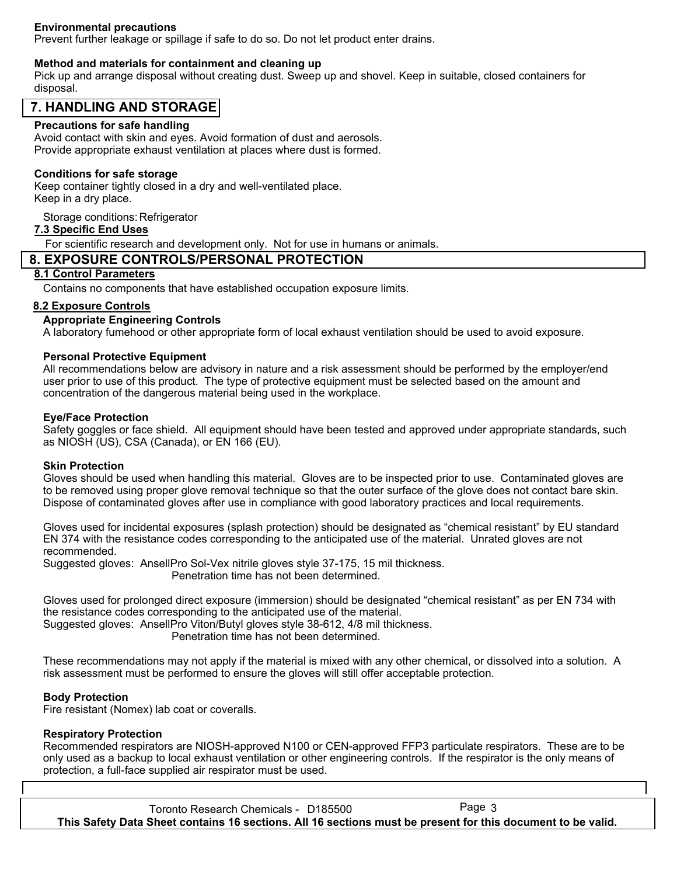## **Environmental precautions**

Prevent further leakage or spillage if safe to do so. Do not let product enter drains.

#### **Method and materials for containment and cleaning up**

Pick up and arrange disposal without creating dust. Sweep up and shovel. Keep in suitable, closed containers for disposal.

# **7. HANDLING AND STORAGE**

#### **Precautions for safe handling**

Avoid contact with skin and eyes. Avoid formation of dust and aerosols. Provide appropriate exhaust ventilation at places where dust is formed.

#### **Conditions for safe storage**

Keep container tightly closed in a dry and well-ventilated place. Keep in a dry place.

Storage conditions: Refrigerator

#### **7.3 Specific End Uses**

For scientific research and development only. Not for use in humans or animals.

# **8. EXPOSURE CONTROLS/PERSONAL PROTECTION**

# **8.1 Control Parameters**

Contains no components that have established occupation exposure limits.

#### **8.2 Exposure Controls**

#### **Appropriate Engineering Controls**

A laboratory fumehood or other appropriate form of local exhaust ventilation should be used to avoid exposure.

#### **Personal Protective Equipment**

All recommendations below are advisory in nature and a risk assessment should be performed by the employer/end user prior to use of this product. The type of protective equipment must be selected based on the amount and concentration of the dangerous material being used in the workplace.

#### **Eye/Face Protection**

Safety goggles or face shield. All equipment should have been tested and approved under appropriate standards, such as NIOSH (US), CSA (Canada), or EN 166 (EU).

#### **Skin Protection**

Gloves should be used when handling this material. Gloves are to be inspected prior to use. Contaminated gloves are to be removed using proper glove removal technique so that the outer surface of the glove does not contact bare skin. Dispose of contaminated gloves after use in compliance with good laboratory practices and local requirements.

Gloves used for incidental exposures (splash protection) should be designated as "chemical resistant" by EU standard EN 374 with the resistance codes corresponding to the anticipated use of the material. Unrated gloves are not recommended.

Suggested gloves: AnsellPro Sol-Vex nitrile gloves style 37-175, 15 mil thickness. Penetration time has not been determined.

Gloves used for prolonged direct exposure (immersion) should be designated "chemical resistant" as per EN 734 with the resistance codes corresponding to the anticipated use of the material. Suggested gloves: AnsellPro Viton/Butyl gloves style 38-612, 4/8 mil thickness.

Penetration time has not been determined.

These recommendations may not apply if the material is mixed with any other chemical, or dissolved into a solution. A risk assessment must be performed to ensure the gloves will still offer acceptable protection.

#### **Body Protection**

Fire resistant (Nomex) lab coat or coveralls.

#### **Respiratory Protection**

Recommended respirators are NIOSH-approved N100 or CEN-approved FFP3 particulate respirators. These are to be only used as a backup to local exhaust ventilation or other engineering controls. If the respirator is the only means of protection, a full-face supplied air respirator must be used.

Toronto Research Chemicals - D185500 Page 3 **This Safety Data Sheet contains 16 sections. All 16 sections must be present for this document to be valid.**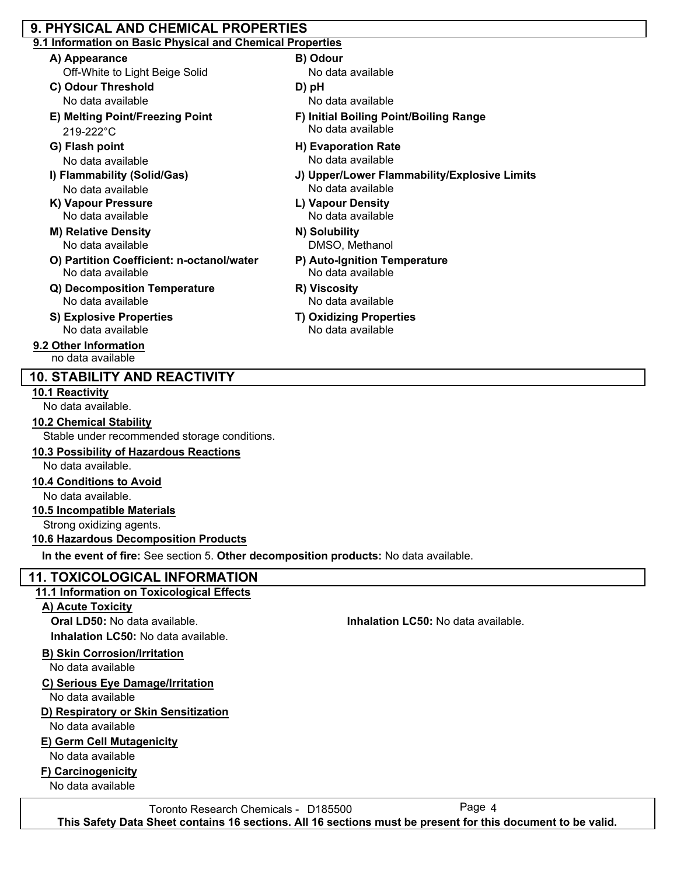# **9. PHYSICAL AND CHEMICAL PROPERTIES**

# **9.1 Information on Basic Physical and Chemical Properties**

- **A) Appearance B) Odour**
	- Off-White to Light Beige Solid
- **C) Odour Threshold D) pH**
- 219-222°C
- 
- 
- No data available No data available
- 
- **M) Relative Density N) Solubility** No data available
- **O) Partition Coefficient: n-octanol/water P) Auto-Ignition Temperature**
- **Q) Decomposition Temperature R) Viscosity** No data available No data available
- **S) Explosive Properties T) Oxidizing Properties** No data available No data available
- **9.2 Other Information** no data available

# **10. STABILITY AND REACTIVITY**

# **10.1 Reactivity**

No data available.

# **10.2 Chemical Stability**

Stable under recommended storage conditions.

# **10.3 Possibility of Hazardous Reactions**

No data available.

# **10.4 Conditions to Avoid**

No data available.

# **10.5 Incompatible Materials**

Strong oxidizing agents.

# **10.6 Hazardous Decomposition Products**

**In the event of fire:** See section 5. **Other decomposition products:** No data available.

# **11. TOXICOLOGICAL INFORMATION**

# **11.1 Information on Toxicological Effects**

# **A) Acute Toxicity**

**Inhalation LC50:** No data available.

# **B) Skin Corrosion/Irritation**

No data available

# **C) Serious Eye Damage/Irritation**

No data available

# **D) Respiratory or Skin Sensitization**

No data available

# **E) Germ Cell Mutagenicity**

No data available

# **F) Carcinogenicity**

No data available

Toronto Research Chemicals - D185500 **This Safety Data Sheet contains 16 sections. All 16 sections must be present for this document to be valid.**

- No data available
- 
- No data available No data available
- **E) Melting Point/Freezing Point F) Initial Boiling Point/Boiling Range** No data available
- **G) Flash point H) Evaporation Rate** No data available No data available
- **I) Flammability (Solid/Gas) J) Upper/Lower Flammability/Explosive Limits**
- **K) Vapour Pressure L) Vapour Density** No data available No data available
	- DMSO, Methanol
	- No data available
	-
	-

**Oral LD50:** No data available. **Inhalation LC50:** No data available.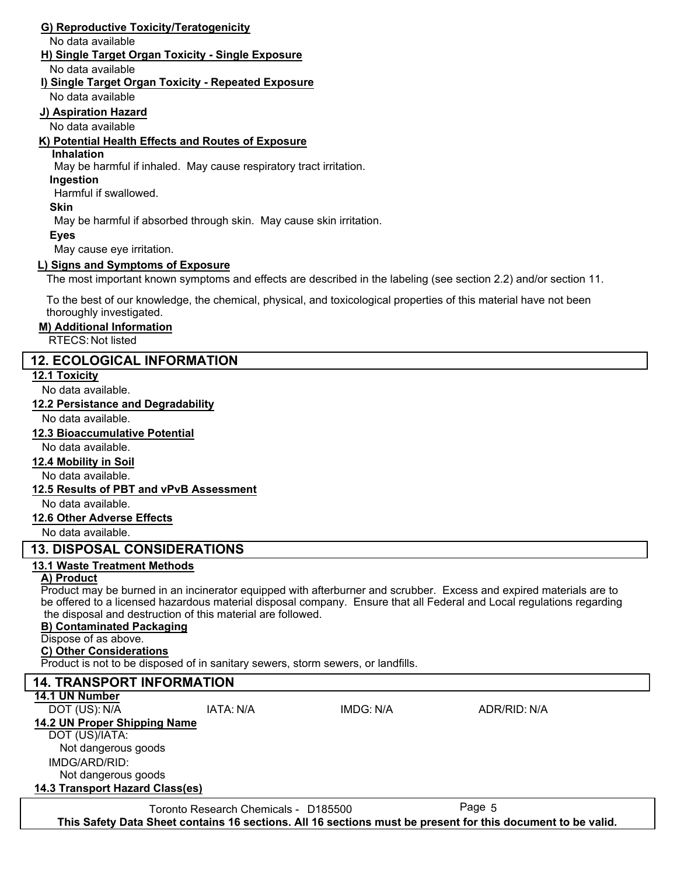# **G) Reproductive Toxicity/Teratogenicity**

No data available

# **H) Single Target Organ Toxicity - Single Exposure**

No data available

#### **I) Single Target Organ Toxicity - Repeated Exposure**

No data available

### **J) Aspiration Hazard**

No data available

# **K) Potential Health Effects and Routes of Exposure**

#### **Inhalation**

May be harmful if inhaled. May cause respiratory tract irritation.

**Ingestion**

Harmful if swallowed.

#### **Skin**

May be harmful if absorbed through skin. May cause skin irritation.

#### **Eyes**

May cause eye irritation.

#### **L) Signs and Symptoms of Exposure**

The most important known symptoms and effects are described in the labeling (see section 2.2) and/or section 11.

To the best of our knowledge, the chemical, physical, and toxicological properties of this material have not been thoroughly investigated.

#### **M) Additional Information**

RTECS: Not listed

# **12. ECOLOGICAL INFORMATION**

#### **12.1 Toxicity**

No data available.

#### **12.2 Persistance and Degradability**

No data available.

#### **12.3 Bioaccumulative Potential**

No data available.

#### **12.4 Mobility in Soil**

No data available.

# **12.5 Results of PBT and vPvB Assessment**

No data available.

# **12.6 Other Adverse Effects**

No data available.

# **13. DISPOSAL CONSIDERATIONS**

# **13.1 Waste Treatment Methods**

# **A) Product**

Product may be burned in an incinerator equipped with afterburner and scrubber. Excess and expired materials are to be offered to a licensed hazardous material disposal company. Ensure that all Federal and Local regulations regarding the disposal and destruction of this material are followed.

# **B) Contaminated Packaging**

Dispose of as above.

#### **C) Other Considerations**

Product is not to be disposed of in sanitary sewers, storm sewers, or landfills.

# **14. TRANSPORT INFORMATION**

**14.1 UN Number**

DOT (US): N/A IATA: N/A IMDG: N/A ADR/RID: N/A

**14.2 UN Proper Shipping Name**

#### DOT (US)/IATA:

IMDG/ARD/RID: Not dangerous goods Not dangerous goods

# **14.3 Transport Hazard Class(es)**

Toronto Research Chemicals - D185500 Page 5 **This Safety Data Sheet contains 16 sections. All 16 sections must be present for this document to be valid.**